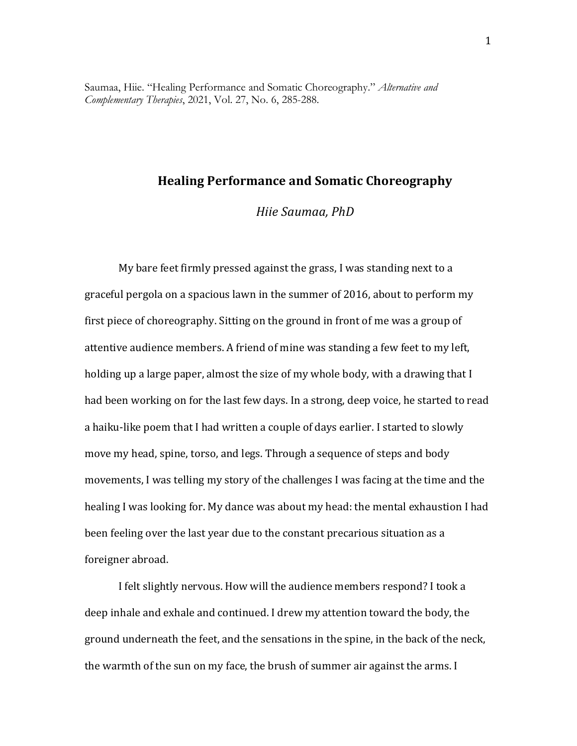Saumaa, Hiie. "Healing Performance and Somatic Choreography." *Alternative and Complementary Therapies*, 2021, Vol. 27, No. 6, 285-288.

# **Healing Performance and Somatic Choreography**

*Hiie Saumaa, PhD*

My bare feet firmly pressed against the grass, I was standing next to a graceful pergola on a spacious lawn in the summer of 2016, about to perform my first piece of choreography. Sitting on the ground in front of me was a group of attentive audience members. A friend of mine was standing a few feet to my left, holding up a large paper, almost the size of my whole body, with a drawing that I had been working on for the last few days. In a strong, deep voice, he started to read a haiku-like poem that I had written a couple of days earlier. I started to slowly move my head, spine, torso, and legs. Through a sequence of steps and body movements, I was telling my story of the challenges I was facing at the time and the healing I was looking for. My dance was about my head: the mental exhaustion I had been feeling over the last year due to the constant precarious situation as a foreigner abroad. 

I felt slightly nervous. How will the audience members respond? I took a deep inhale and exhale and continued. I drew my attention toward the body, the ground underneath the feet, and the sensations in the spine, in the back of the neck, the warmth of the sun on my face, the brush of summer air against the arms. I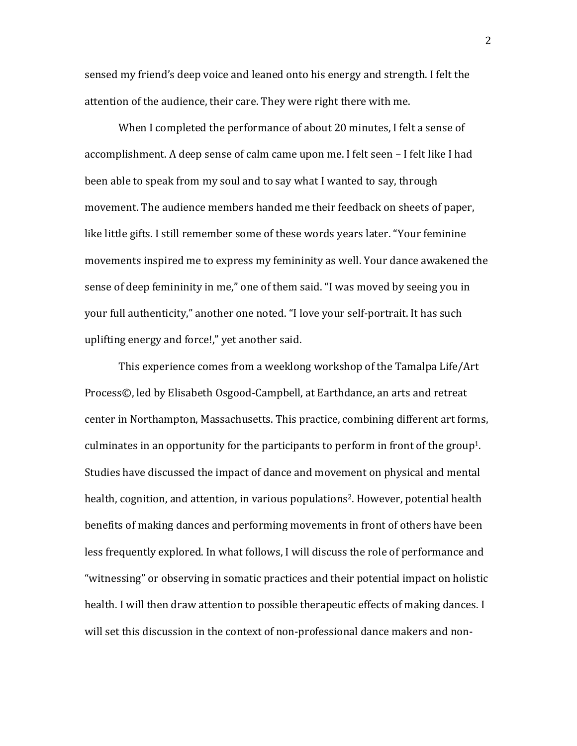sensed my friend's deep voice and leaned onto his energy and strength. I felt the attention of the audience, their care. They were right there with me.

When I completed the performance of about 20 minutes, I felt a sense of accomplishment. A deep sense of calm came upon me. I felt seen – I felt like I had been able to speak from my soul and to say what I wanted to say, through movement. The audience members handed me their feedback on sheets of paper, like little gifts. I still remember some of these words years later. "Your feminine movements inspired me to express my femininity as well. Your dance awakened the sense of deep femininity in me," one of them said. "I was moved by seeing you in your full authenticity," another one noted. "I love your self-portrait. It has such uplifting energy and force!," yet another said.

This experience comes from a weeklong workshop of the Tamalpa Life/Art Process©, led by Elisabeth Osgood-Campbell, at Earthdance, an arts and retreat center in Northampton, Massachusetts. This practice, combining different art forms, culminates in an opportunity for the participants to perform in front of the group<sup>1</sup>. Studies have discussed the impact of dance and movement on physical and mental health, cognition, and attention, in various populations<sup>2</sup>. However, potential health benefits of making dances and performing movements in front of others have been less frequently explored. In what follows, I will discuss the role of performance and "witnessing" or observing in somatic practices and their potential impact on holistic health. I will then draw attention to possible therapeutic effects of making dances. I will set this discussion in the context of non-professional dance makers and non-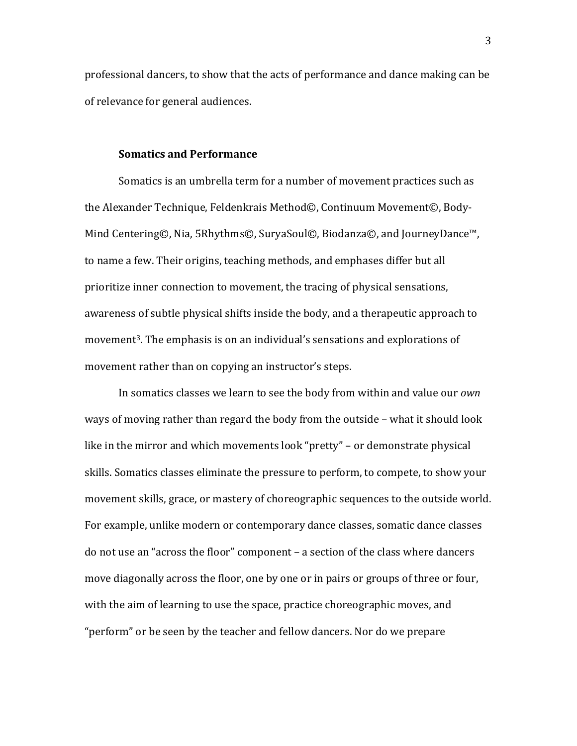professional dancers, to show that the acts of performance and dance making can be of relevance for general audiences.

#### **Somatics and Performance**

Somatics is an umbrella term for a number of movement practices such as the Alexander Technique, Feldenkrais Method©, Continuum Movement©, Body-Mind Centering©, Nia, 5Rhythms©, SuryaSoul©, Biodanza©, and JourneyDance<sup>™</sup>, to name a few. Their origins, teaching methods, and emphases differ but all prioritize inner connection to movement, the tracing of physical sensations, awareness of subtle physical shifts inside the body, and a therapeutic approach to movement<sup>3</sup>. The emphasis is on an individual's sensations and explorations of movement rather than on copying an instructor's steps.

In somatics classes we learn to see the body from within and value our *own* ways of moving rather than regard the body from the outside - what it should look like in the mirror and which movements look "pretty" – or demonstrate physical skills. Somatics classes eliminate the pressure to perform, to compete, to show your movement skills, grace, or mastery of choreographic sequences to the outside world. For example, unlike modern or contemporary dance classes, somatic dance classes do not use an "across the floor" component - a section of the class where dancers move diagonally across the floor, one by one or in pairs or groups of three or four, with the aim of learning to use the space, practice choreographic moves, and "perform" or be seen by the teacher and fellow dancers. Nor do we prepare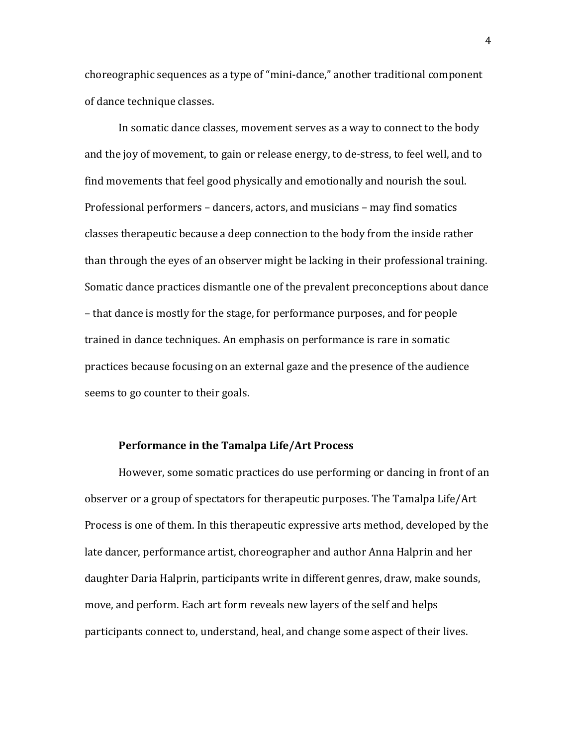choreographic sequences as a type of "mini-dance," another traditional component of dance technique classes.

In somatic dance classes, movement serves as a way to connect to the body and the joy of movement, to gain or release energy, to de-stress, to feel well, and to find movements that feel good physically and emotionally and nourish the soul. Professional performers - dancers, actors, and musicians - may find somatics classes therapeutic because a deep connection to the body from the inside rather than through the eyes of an observer might be lacking in their professional training. Somatic dance practices dismantle one of the prevalent preconceptions about dance – that dance is mostly for the stage, for performance purposes, and for people trained in dance techniques. An emphasis on performance is rare in somatic practices because focusing on an external gaze and the presence of the audience seems to go counter to their goals.

#### **Performance in the Tamalpa Life/Art Process**

However, some somatic practices do use performing or dancing in front of an observer or a group of spectators for therapeutic purposes. The Tamalpa Life/Art Process is one of them. In this therapeutic expressive arts method, developed by the late dancer, performance artist, choreographer and author Anna Halprin and her daughter Daria Halprin, participants write in different genres, draw, make sounds, move, and perform. Each art form reveals new layers of the self and helps participants connect to, understand, heal, and change some aspect of their lives.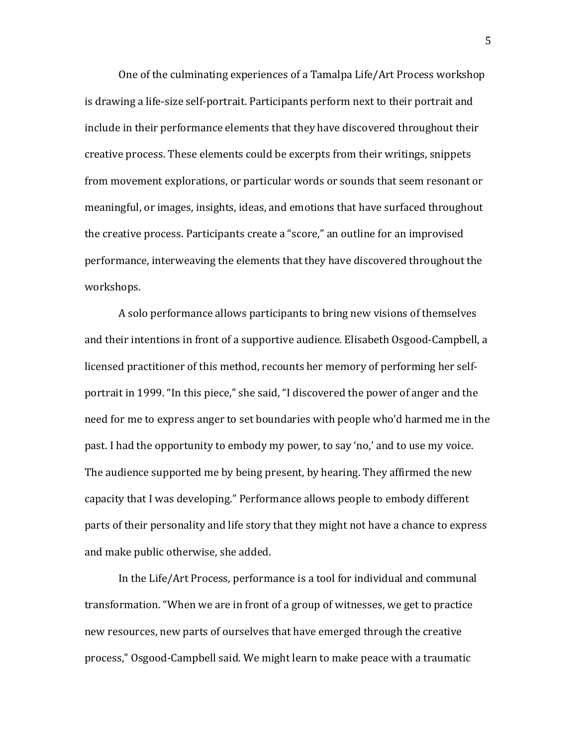One of the culminating experiences of a Tamalpa Life/Art Process workshop is drawing a life-size self-portrait. Participants perform next to their portrait and include in their performance elements that they have discovered throughout their creative process. These elements could be excerpts from their writings, snippets from movement explorations, or particular words or sounds that seem resonant or meaningful, or images, insights, ideas, and emotions that have surfaced throughout the creative process. Participants create a "score," an outline for an improvised performance, interweaving the elements that they have discovered throughout the workshops. 

A solo performance allows participants to bring new visions of themselves and their intentions in front of a supportive audience. Elisabeth Osgood-Campbell, a licensed practitioner of this method, recounts her memory of performing her selfportrait in 1999. "In this piece," she said, "I discovered the power of anger and the need for me to express anger to set boundaries with people who'd harmed me in the past. I had the opportunity to embody my power, to say 'no,' and to use my voice. The audience supported me by being present, by hearing. They affirmed the new capacity that I was developing." Performance allows people to embody different parts of their personality and life story that they might not have a chance to express and make public otherwise, she added.

In the Life/Art Process, performance is a tool for individual and communal transformation. "When we are in front of a group of witnesses, we get to practice new resources, new parts of ourselves that have emerged through the creative process," Osgood-Campbell said. We might learn to make peace with a traumatic

5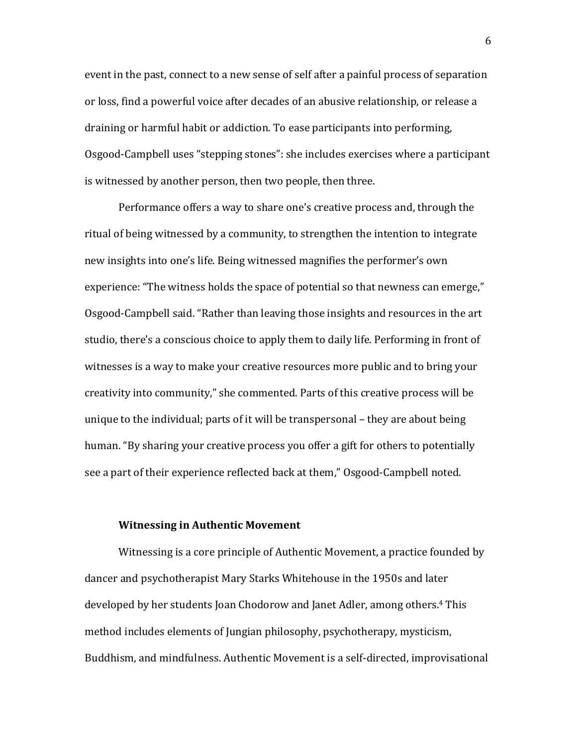event in the past, connect to a new sense of self after a painful process of separation or loss, find a powerful voice after decades of an abusive relationship, or release a draining or harmful habit or addiction. To ease participants into performing, Osgood-Campbell uses "stepping stones": she includes exercises where a participant is witnessed by another person, then two people, then three.

Performance offers a way to share one's creative process and, through the ritual of being witnessed by a community, to strengthen the intention to integrate new insights into one's life. Being witnessed magnifies the performer's own experience: "The witness holds the space of potential so that newness can emerge," Osgood-Campbell said. "Rather than leaving those insights and resources in the art studio, there's a conscious choice to apply them to daily life. Performing in front of witnesses is a way to make your creative resources more public and to bring your creativity into community," she commented. Parts of this creative process will be unique to the individual; parts of it will be transpersonal  $-$  they are about being human. "By sharing your creative process you offer a gift for others to potentially see a part of their experience reflected back at them," Osgood-Campbell noted.

## **Witnessing in Authentic Movement**

Witnessing is a core principle of Authentic Movement, a practice founded by dancer and psychotherapist Mary Starks Whitehouse in the 1950s and later developed by her students Joan Chodorow and Janet Adler, among others.<sup>4</sup> This method includes elements of Jungian philosophy, psychotherapy, mysticism, Buddhism, and mindfulness. Authentic Movement is a self-directed, improvisational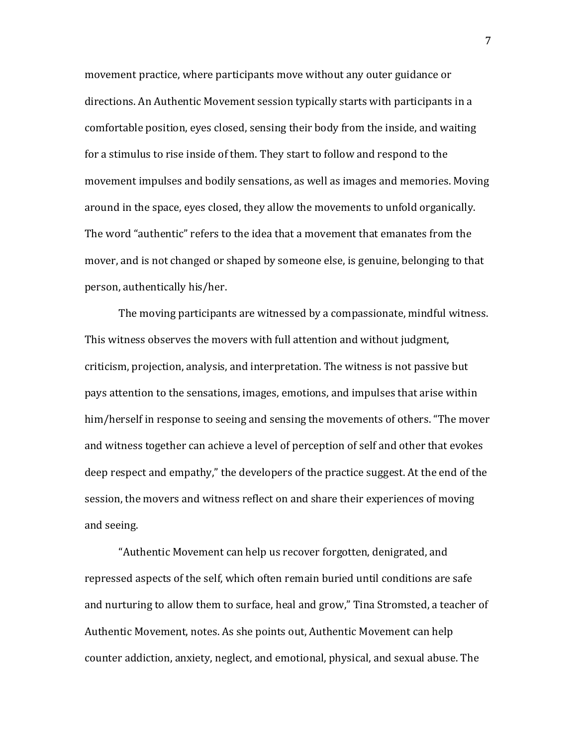movement practice, where participants move without any outer guidance or directions. An Authentic Movement session typically starts with participants in a comfortable position, eyes closed, sensing their body from the inside, and waiting for a stimulus to rise inside of them. They start to follow and respond to the movement impulses and bodily sensations, as well as images and memories. Moving around in the space, eyes closed, they allow the movements to unfold organically. The word "authentic" refers to the idea that a movement that emanates from the mover, and is not changed or shaped by someone else, is genuine, belonging to that person, authentically his/her.

The moving participants are witnessed by a compassionate, mindful witness. This witness observes the movers with full attention and without judgment, criticism, projection, analysis, and interpretation. The witness is not passive but pays attention to the sensations, images, emotions, and impulses that arise within him/herself in response to seeing and sensing the movements of others. "The mover and witness together can achieve a level of perception of self and other that evokes deep respect and empathy," the developers of the practice suggest. At the end of the session, the movers and witness reflect on and share their experiences of moving and seeing.

"Authentic Movement can help us recover forgotten, denigrated, and repressed aspects of the self, which often remain buried until conditions are safe and nurturing to allow them to surface, heal and grow," Tina Stromsted, a teacher of Authentic Movement, notes. As she points out, Authentic Movement can help counter addiction, anxiety, neglect, and emotional, physical, and sexual abuse. The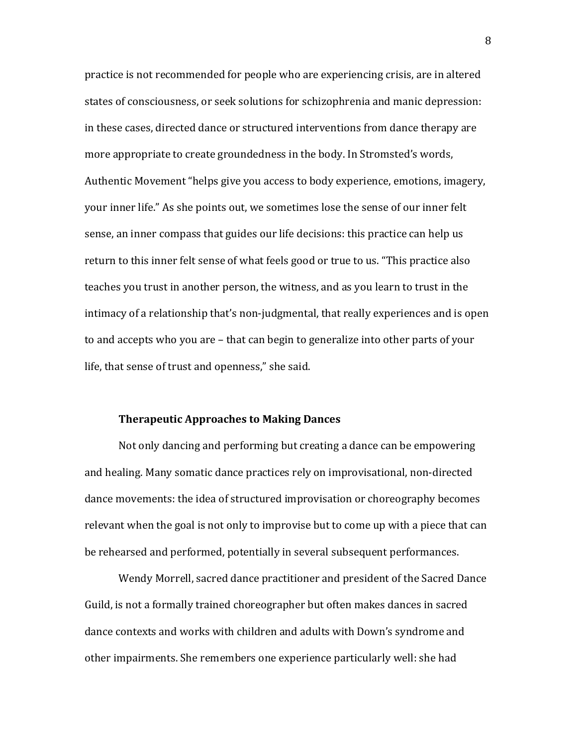practice is not recommended for people who are experiencing crisis, are in altered states of consciousness, or seek solutions for schizophrenia and manic depression: in these cases, directed dance or structured interventions from dance therapy are more appropriate to create groundedness in the body. In Stromsted's words, Authentic Movement "helps give you access to body experience, emotions, imagery, your inner life." As she points out, we sometimes lose the sense of our inner felt sense, an inner compass that guides our life decisions: this practice can help us return to this inner felt sense of what feels good or true to us. "This practice also teaches you trust in another person, the witness, and as you learn to trust in the intimacy of a relationship that's non-judgmental, that really experiences and is open to and accepts who you are – that can begin to generalize into other parts of your life, that sense of trust and openness," she said.

## **Therapeutic Approaches to Making Dances**

Not only dancing and performing but creating a dance can be empowering and healing. Many somatic dance practices rely on improvisational, non-directed dance movements: the idea of structured improvisation or choreography becomes relevant when the goal is not only to improvise but to come up with a piece that can be rehearsed and performed, potentially in several subsequent performances.

Wendy Morrell, sacred dance practitioner and president of the Sacred Dance Guild, is not a formally trained choreographer but often makes dances in sacred dance contexts and works with children and adults with Down's syndrome and other impairments. She remembers one experience particularly well: she had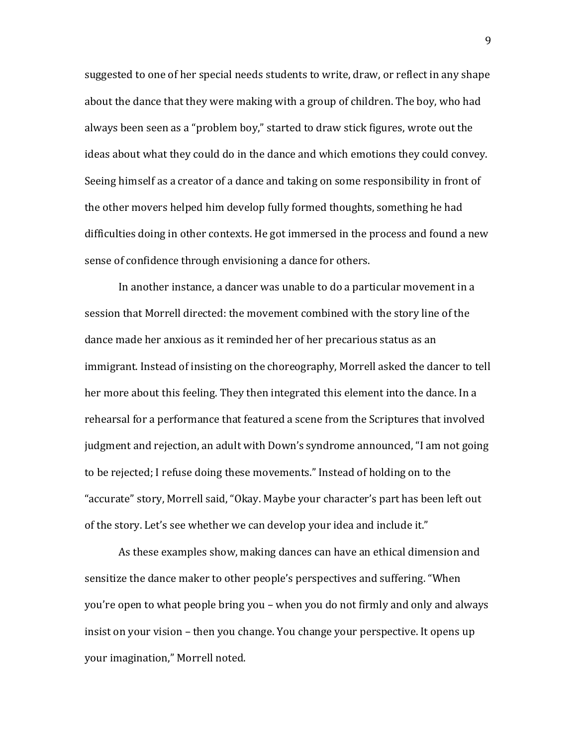suggested to one of her special needs students to write, draw, or reflect in any shape about the dance that they were making with a group of children. The boy, who had always been seen as a "problem boy," started to draw stick figures, wrote out the ideas about what they could do in the dance and which emotions they could convey. Seeing himself as a creator of a dance and taking on some responsibility in front of the other movers helped him develop fully formed thoughts, something he had difficulties doing in other contexts. He got immersed in the process and found a new sense of confidence through envisioning a dance for others.

In another instance, a dancer was unable to do a particular movement in a session that Morrell directed: the movement combined with the story line of the dance made her anxious as it reminded her of her precarious status as an immigrant. Instead of insisting on the choreography, Morrell asked the dancer to tell her more about this feeling. They then integrated this element into the dance. In a rehearsal for a performance that featured a scene from the Scriptures that involved judgment and rejection, an adult with Down's syndrome announced, "I am not going to be rejected; I refuse doing these movements." Instead of holding on to the "accurate" story, Morrell said, "Okay. Maybe your character's part has been left out of the story. Let's see whether we can develop your idea and include it."

As these examples show, making dances can have an ethical dimension and sensitize the dance maker to other people's perspectives and suffering. "When you're open to what people bring you – when you do not firmly and only and always insist on your vision – then you change. You change your perspective. It opens up your imagination," Morrell noted.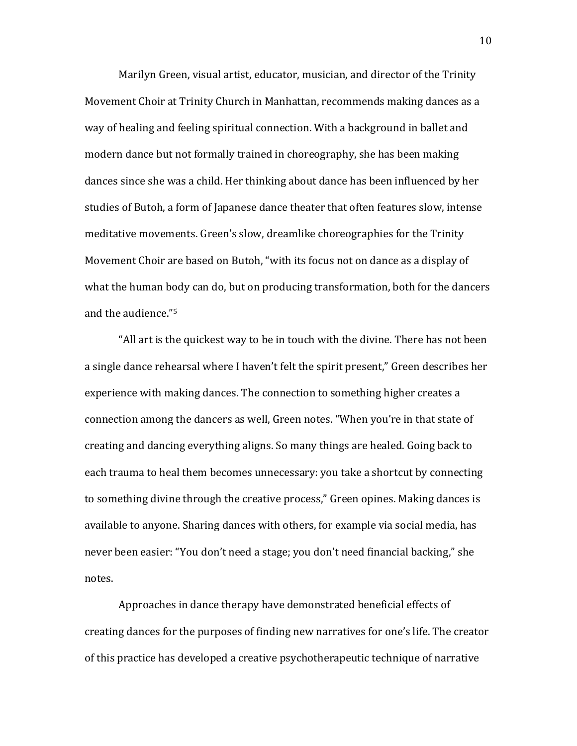Marilyn Green, visual artist, educator, musician, and director of the Trinity Movement Choir at Trinity Church in Manhattan, recommends making dances as a way of healing and feeling spiritual connection. With a background in ballet and modern dance but not formally trained in choreography, she has been making dances since she was a child. Her thinking about dance has been influenced by her studies of Butoh, a form of Japanese dance theater that often features slow, intense meditative movements. Green's slow, dreamlike choreographies for the Trinity Movement Choir are based on Butoh, "with its focus not on dance as a display of what the human body can do, but on producing transformation, both for the dancers and the audience."<sup>5</sup>

"All art is the quickest way to be in touch with the divine. There has not been a single dance rehearsal where I haven't felt the spirit present," Green describes her experience with making dances. The connection to something higher creates a connection among the dancers as well, Green notes. "When you're in that state of creating and dancing everything aligns. So many things are healed. Going back to each trauma to heal them becomes unnecessary: you take a shortcut by connecting to something divine through the creative process," Green opines. Making dances is available to anyone. Sharing dances with others, for example via social media, has never been easier: "You don't need a stage; you don't need financial backing," she notes. 

Approaches in dance therapy have demonstrated beneficial effects of creating dances for the purposes of finding new narratives for one's life. The creator of this practice has developed a creative psychotherapeutic technique of narrative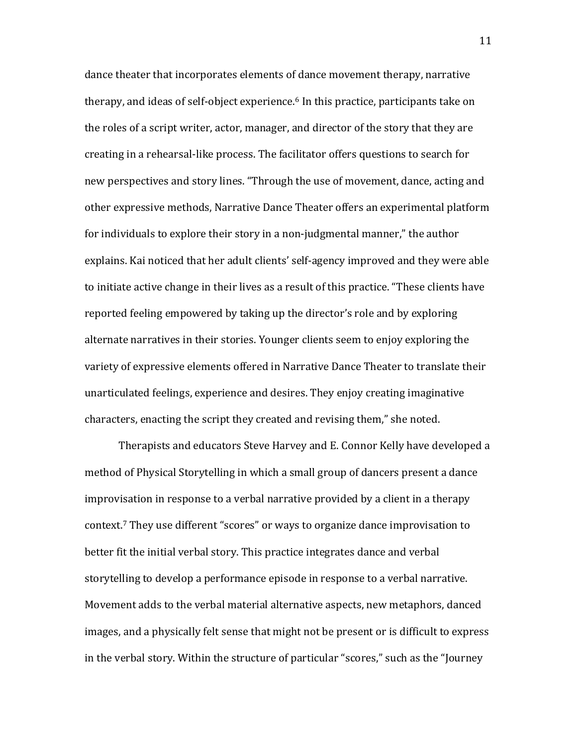dance theater that incorporates elements of dance movement therapy, narrative therapy, and ideas of self-object experience.<sup>6</sup> In this practice, participants take on the roles of a script writer, actor, manager, and director of the story that they are creating in a rehearsal-like process. The facilitator offers questions to search for new perspectives and story lines. "Through the use of movement, dance, acting and other expressive methods, Narrative Dance Theater offers an experimental platform for individuals to explore their story in a non-judgmental manner," the author explains. Kai noticed that her adult clients' self-agency improved and they were able to initiate active change in their lives as a result of this practice. "These clients have reported feeling empowered by taking up the director's role and by exploring alternate narratives in their stories. Younger clients seem to enjoy exploring the variety of expressive elements offered in Narrative Dance Theater to translate their unarticulated feelings, experience and desires. They enjoy creating imaginative characters, enacting the script they created and revising them," she noted.

Therapists and educators Steve Harvey and E. Connor Kelly have developed a method of Physical Storytelling in which a small group of dancers present a dance improvisation in response to a verbal narrative provided by a client in a therapy context.<sup>7</sup> They use different "scores" or ways to organize dance improvisation to better fit the initial verbal story. This practice integrates dance and verbal storytelling to develop a performance episode in response to a verbal narrative. Movement adds to the verbal material alternative aspects, new metaphors, danced images, and a physically felt sense that might not be present or is difficult to express in the verbal story. Within the structure of particular "scores," such as the "Journey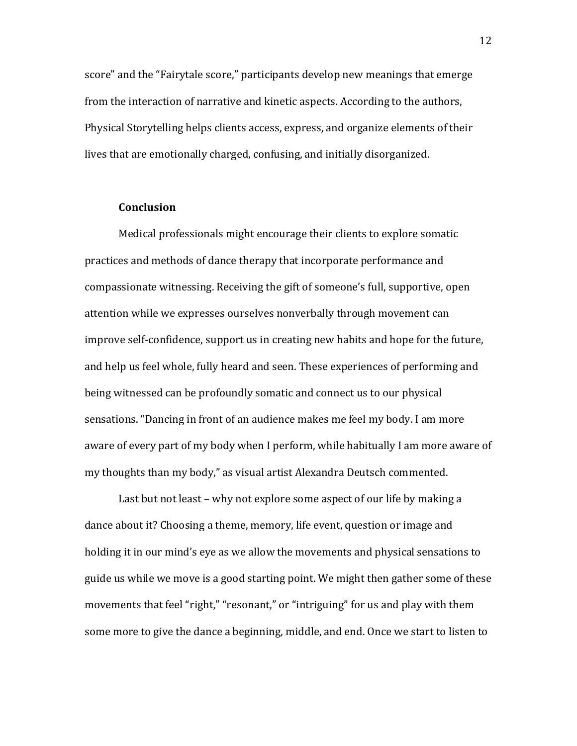score" and the "Fairytale score," participants develop new meanings that emerge from the interaction of narrative and kinetic aspects. According to the authors, Physical Storytelling helps clients access, express, and organize elements of their lives that are emotionally charged, confusing, and initially disorganized.

## **Conclusion**

Medical professionals might encourage their clients to explore somatic practices and methods of dance therapy that incorporate performance and compassionate witnessing. Receiving the gift of someone's full, supportive, open attention while we expresses ourselves nonverbally through movement can improve self-confidence, support us in creating new habits and hope for the future, and help us feel whole, fully heard and seen. These experiences of performing and being witnessed can be profoundly somatic and connect us to our physical sensations. "Dancing in front of an audience makes me feel my body. I am more aware of every part of my body when I perform, while habitually I am more aware of my thoughts than my body," as visual artist Alexandra Deutsch commented.

Last but not least – why not explore some aspect of our life by making a dance about it? Choosing a theme, memory, life event, question or image and holding it in our mind's eye as we allow the movements and physical sensations to guide us while we move is a good starting point. We might then gather some of these movements that feel "right," "resonant," or "intriguing" for us and play with them some more to give the dance a beginning, middle, and end. Once we start to listen to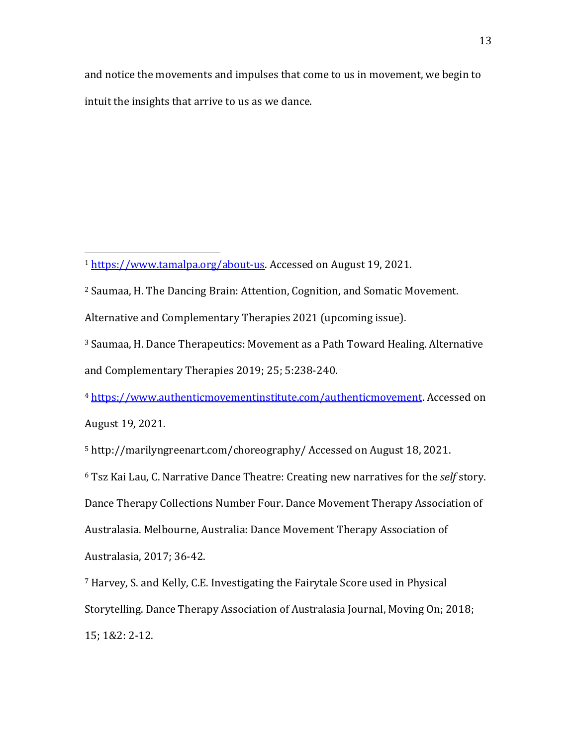and notice the movements and impulses that come to us in movement, we begin to intuit the insights that arrive to us as we dance.

 

- <sup>2</sup> Saumaa, H. The Dancing Brain: Attention, Cognition, and Somatic Movement.
- Alternative and Complementary Therapies 2021 (upcoming issue).
- <sup>3</sup> Saumaa, H. Dance Therapeutics: Movement as a Path Toward Healing. Alternative and Complementary Therapies 2019; 25; 5:238-240.

<sup>4</sup> https://www.authenticmovementinstitute.com/authenticmovement. Accessed on August 19, 2021. 

<sup>5</sup> http://marilyngreenart.com/choreography/ Accessed on August 18, 2021.

<sup>6</sup> Tsz Kai Lau, C. Narrative Dance Theatre: Creating new narratives for the *self* story. Dance Therapy Collections Number Four. Dance Movement Therapy Association of Australasia. Melbourne, Australia: Dance Movement Therapy Association of Australasia, 2017; 36-42.

<sup>7</sup> Harvey, S. and Kelly, C.E. Investigating the Fairytale Score used in Physical Storytelling. Dance Therapy Association of Australasia Journal, Moving On; 2018; 15; 1&2: 2-12. 

<sup>&</sup>lt;sup>1</sup> https://www.tamalpa.org/about-us. Accessed on August 19, 2021.